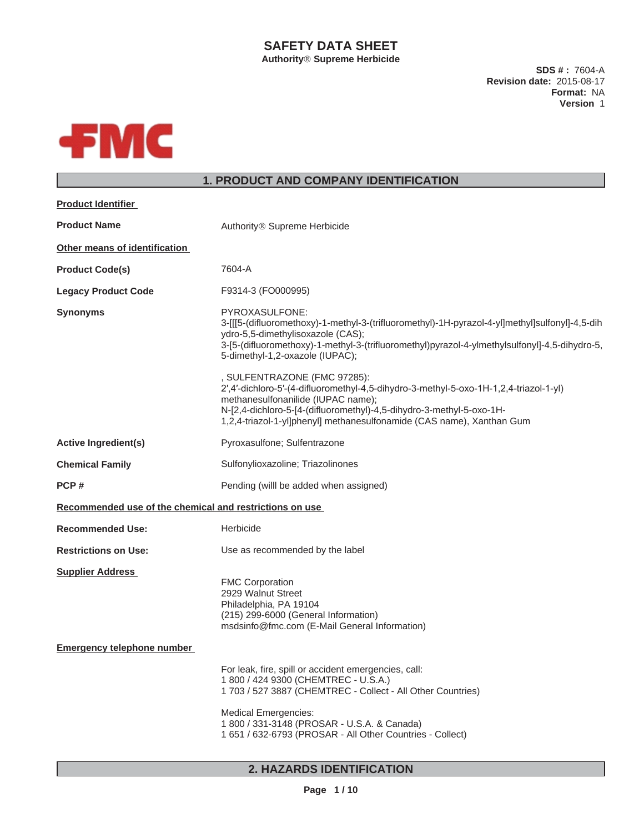## **SAFETY DATA SHEET**

**Authority Supreme Herbicide**

**SDS # :** 7604-A **Revision date:** 2015-08-17 **Format:** NA **Version** 1



## **1. PRODUCT AND COMPANY IDENTIFICATION**

| <b>Product Identifier</b>                               |                                                                                                                                                                                                                                                                                                              |
|---------------------------------------------------------|--------------------------------------------------------------------------------------------------------------------------------------------------------------------------------------------------------------------------------------------------------------------------------------------------------------|
| <b>Product Name</b>                                     | Authority <sup>®</sup> Supreme Herbicide                                                                                                                                                                                                                                                                     |
| Other means of identification                           |                                                                                                                                                                                                                                                                                                              |
| <b>Product Code(s)</b>                                  | 7604-A                                                                                                                                                                                                                                                                                                       |
| <b>Legacy Product Code</b>                              | F9314-3 (FO000995)                                                                                                                                                                                                                                                                                           |
| <b>Synonyms</b>                                         | PYROXASULFONE:<br>3-[[[5-(difluoromethoxy)-1-methyl-3-(trifluoromethyl)-1H-pyrazol-4-yl]methyl]sulfonyl]-4,5-dih<br>ydro-5,5-dimethylisoxazole (CAS);<br>3-[5-(difluoromethoxy)-1-methyl-3-(trifluoromethyl)pyrazol-4-ylmethylsulfonyl]-4,5-dihydro-5,<br>5-dimethyl-1,2-oxazole (IUPAC);                    |
|                                                         | , SULFENTRAZONE (FMC 97285):<br>2',4'-dichloro-5'-(4-difluoromethyl-4,5-dihydro-3-methyl-5-oxo-1H-1,2,4-triazol-1-yl)<br>methanesulfonanilide (IUPAC name);<br>N-[2,4-dichloro-5-[4-(difluoromethyl)-4,5-dihydro-3-methyl-5-oxo-1H-<br>1,2,4-triazol-1-yl]phenyl] methanesulfonamide (CAS name), Xanthan Gum |
| <b>Active Ingredient(s)</b>                             | Pyroxasulfone; Sulfentrazone                                                                                                                                                                                                                                                                                 |
| <b>Chemical Family</b>                                  | Sulfonylioxazoline; Triazolinones                                                                                                                                                                                                                                                                            |
| PCP#                                                    | Pending (will be added when assigned)                                                                                                                                                                                                                                                                        |
| Recommended use of the chemical and restrictions on use |                                                                                                                                                                                                                                                                                                              |
| <b>Recommended Use:</b>                                 | Herbicide                                                                                                                                                                                                                                                                                                    |
| <b>Restrictions on Use:</b>                             | Use as recommended by the label                                                                                                                                                                                                                                                                              |
| <b>Supplier Address</b>                                 | <b>FMC Corporation</b><br>2929 Walnut Street<br>Philadelphia, PA 19104<br>(215) 299-6000 (General Information)<br>msdsinfo@fmc.com (E-Mail General Information)                                                                                                                                              |
| <b>Emergency telephone number</b>                       |                                                                                                                                                                                                                                                                                                              |
|                                                         | For leak, fire, spill or accident emergencies, call:<br>1 800 / 424 9300 (CHEMTREC - U.S.A.)<br>1 703 / 527 3887 (CHEMTREC - Collect - All Other Countries)                                                                                                                                                  |
|                                                         | <b>Medical Emergencies:</b><br>1 800 / 331-3148 (PROSAR - U.S.A. & Canada)<br>1 651 / 632-6793 (PROSAR - All Other Countries - Collect)                                                                                                                                                                      |

## **2. HAZARDS IDENTIFICATION**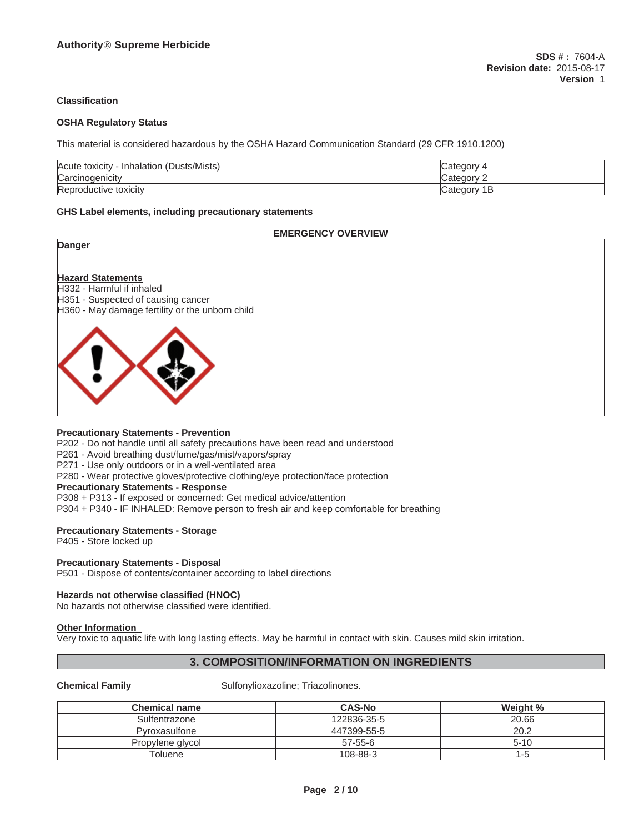#### **Classification**

#### **OSHA Regulatory Status**

This material is considered hazardous by the OSHA Hazard Communication Standard (29 CFR 1910.1200)

| usts/Mists)<br>Acute toxicity<br>—<br>Inhalatio<br>∵ال |                   |
|--------------------------------------------------------|-------------------|
| <b>Carcino</b><br>noaenicit\                           | $   -$<br>--      |
| Repro<br>. .<br>toxicity<br>Juctive                    | . די<br>P<br>valo |

#### **GHS Label elements, including precautionary statements**

# **EMERGENCY OVERVIEW Danger Hazard Statements** H332 - Harmful if inhaled H351 - Suspected of causing cancer H360 - May damage fertility or the unborn child

#### **Precautionary Statements - Prevention**

P202 - Do not handle until all safety precautions have been read and understood

P261 - Avoid breathing dust/fume/gas/mist/vapors/spray

P271 - Use only outdoors or in a well-ventilated area

P280 - Wear protective gloves/protective clothing/eye protection/face protection

#### **Precautionary Statements - Response**

P308 + P313 - If exposed or concerned: Get medical advice/attention

P304 + P340 - IF INHALED: Remove person to fresh air and keep comfortable for breathing

#### **Precautionary Statements - Storage**

P405 - Store locked up

#### **Precautionary Statements - Disposal**

P501 - Dispose of contents/container according to label directions

#### **Hazards not otherwise classified (HNOC)**

No hazards not otherwise classified were identified.

#### **Other Information**

Very toxic to aquatic life with long lasting effects. May be harmful in contact with skin. Causes mild skin irritation.

## **3. COMPOSITION/INFORMATION ON INGREDIENTS**

**Chemical Family Sulfonylioxazoline; Triazolinones.** 

| <b>Chemical name</b> | <b>CAS-No</b> | Weight % |
|----------------------|---------------|----------|
| Sulfentrazone        | 122836-35-5   | 20.66    |
| Pyroxasulfone        | 447399-55-5   | 20.2     |
| Propylene glycol     | $57 - 55 - 6$ | $5 - 10$ |
| Toluene              | 108-88-3      | l -5     |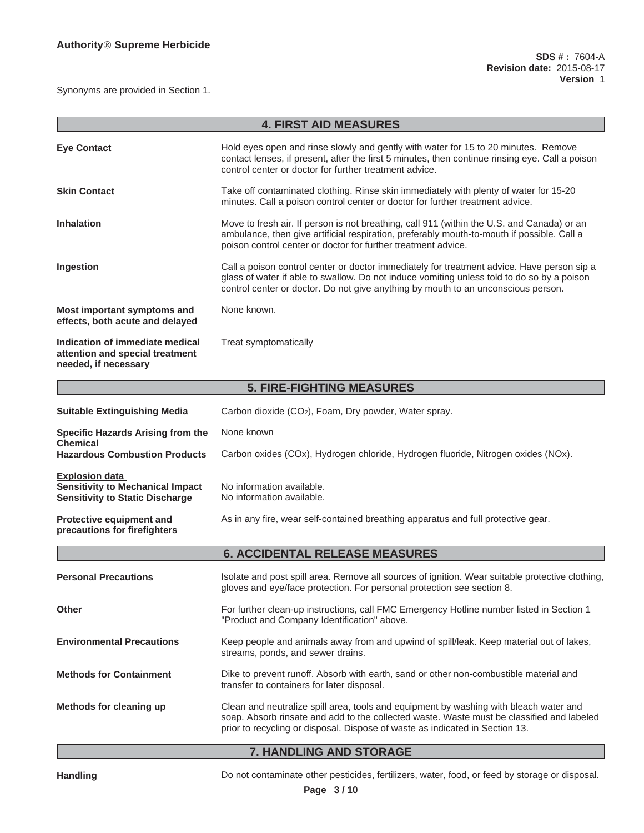Synonyms are provided in Section 1.

| <b>4. FIRST AID MEASURES</b>                                                                               |                                                                                                                                                                                                                                                                               |  |  |  |
|------------------------------------------------------------------------------------------------------------|-------------------------------------------------------------------------------------------------------------------------------------------------------------------------------------------------------------------------------------------------------------------------------|--|--|--|
|                                                                                                            |                                                                                                                                                                                                                                                                               |  |  |  |
| <b>Eye Contact</b>                                                                                         | Hold eyes open and rinse slowly and gently with water for 15 to 20 minutes. Remove<br>contact lenses, if present, after the first 5 minutes, then continue rinsing eye. Call a poison<br>control center or doctor for further treatment advice.                               |  |  |  |
| <b>Skin Contact</b>                                                                                        | Take off contaminated clothing. Rinse skin immediately with plenty of water for 15-20<br>minutes. Call a poison control center or doctor for further treatment advice.                                                                                                        |  |  |  |
| <b>Inhalation</b>                                                                                          | Move to fresh air. If person is not breathing, call 911 (within the U.S. and Canada) or an<br>ambulance, then give artificial respiration, preferably mouth-to-mouth if possible. Call a<br>poison control center or doctor for further treatment advice.                     |  |  |  |
| Ingestion                                                                                                  | Call a poison control center or doctor immediately for treatment advice. Have person sip a<br>glass of water if able to swallow. Do not induce vomiting unless told to do so by a poison<br>control center or doctor. Do not give anything by mouth to an unconscious person. |  |  |  |
| Most important symptoms and<br>effects, both acute and delayed                                             | None known.                                                                                                                                                                                                                                                                   |  |  |  |
| Indication of immediate medical<br>attention and special treatment<br>needed, if necessary                 | Treat symptomatically                                                                                                                                                                                                                                                         |  |  |  |
| <b>5. FIRE-FIGHTING MEASURES</b>                                                                           |                                                                                                                                                                                                                                                                               |  |  |  |
| <b>Suitable Extinguishing Media</b>                                                                        | Carbon dioxide (CO <sub>2</sub> ), Foam, Dry powder, Water spray.                                                                                                                                                                                                             |  |  |  |
| <b>Specific Hazards Arising from the</b><br><b>Chemical</b>                                                | None known                                                                                                                                                                                                                                                                    |  |  |  |
| <b>Hazardous Combustion Products</b>                                                                       | Carbon oxides (COx), Hydrogen chloride, Hydrogen fluoride, Nitrogen oxides (NOx).                                                                                                                                                                                             |  |  |  |
| <b>Explosion data</b><br><b>Sensitivity to Mechanical Impact</b><br><b>Sensitivity to Static Discharge</b> | No information available.<br>No information available.                                                                                                                                                                                                                        |  |  |  |
| Protective equipment and<br>precautions for firefighters                                                   | As in any fire, wear self-contained breathing apparatus and full protective gear.                                                                                                                                                                                             |  |  |  |
|                                                                                                            | <b>6. ACCIDENTAL RELEASE MEASURES</b>                                                                                                                                                                                                                                         |  |  |  |
| <b>Personal Precautions</b>                                                                                | Isolate and post spill area. Remove all sources of ignition. Wear suitable protective clothing,<br>gloves and eye/face protection. For personal protection see section 8.                                                                                                     |  |  |  |
| <b>Other</b>                                                                                               | For further clean-up instructions, call FMC Emergency Hotline number listed in Section 1<br>"Product and Company Identification" above.                                                                                                                                       |  |  |  |
| <b>Environmental Precautions</b>                                                                           | Keep people and animals away from and upwind of spill/leak. Keep material out of lakes,<br>streams, ponds, and sewer drains.                                                                                                                                                  |  |  |  |
| <b>Methods for Containment</b>                                                                             | Dike to prevent runoff. Absorb with earth, sand or other non-combustible material and<br>transfer to containers for later disposal.                                                                                                                                           |  |  |  |
| Methods for cleaning up                                                                                    | Clean and neutralize spill area, tools and equipment by washing with bleach water and<br>soap. Absorb rinsate and add to the collected waste. Waste must be classified and labeled<br>prior to recycling or disposal. Dispose of waste as indicated in Section 13.            |  |  |  |

#### **7. HANDLING AND STORAGE**

Handling **Handling** Do not contaminate other pesticides, fertilizers, water, food, or feed by storage or disposal.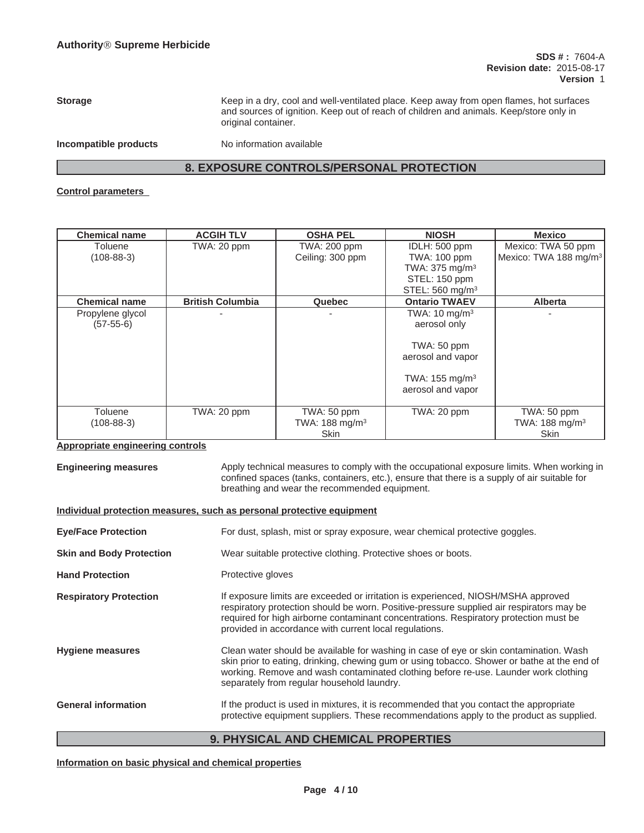**Storage** Keep in a dry, cool and well-ventilated place. Keep away from open flames, hot surfaces and sources of ignition. Keep out of reach of children and animals. Keep/store only in original container.

**Incompatible products** No information available

### **8. EXPOSURE CONTROLS/PERSONAL PROTECTION**

#### **Control parameters**

| <b>Chemical name</b> | <b>ACGIH TLV</b>        | <b>OSHA PEL</b>            | <b>NIOSH</b>                | <b>Mexico</b>                     |
|----------------------|-------------------------|----------------------------|-----------------------------|-----------------------------------|
| Toluene              | TWA: 20 ppm             | <b>TWA: 200 ppm</b>        | IDLH: 500 ppm               | Mexico: TWA 50 ppm                |
| $(108 - 88 - 3)$     |                         | Ceiling: 300 ppm           | <b>TWA: 100 ppm</b>         | Mexico: TWA 188 mg/m <sup>3</sup> |
|                      |                         |                            | TWA: 375 mg/m <sup>3</sup>  |                                   |
|                      |                         |                            | STEL: 150 ppm               |                                   |
|                      |                         |                            | STEL: 560 mg/m <sup>3</sup> |                                   |
| <b>Chemical name</b> | <b>British Columbia</b> | Quebec                     | <b>Ontario TWAEV</b>        | <b>Alberta</b>                    |
| Propylene glycol     |                         |                            | TWA: $10 \text{ mg/m}^3$    |                                   |
| $(57-55-6)$          |                         |                            | aerosol only                |                                   |
|                      |                         |                            |                             |                                   |
|                      |                         |                            | TWA: 50 ppm                 |                                   |
|                      |                         |                            | aerosol and vapor           |                                   |
|                      |                         |                            | TWA: $155 \text{ mg/m}^3$   |                                   |
|                      |                         |                            | aerosol and vapor           |                                   |
|                      |                         |                            |                             |                                   |
| Toluene              | TWA: 20 ppm             | TWA: 50 ppm                | TWA: 20 ppm                 | TWA: 50 ppm                       |
| $(108 - 88 - 3)$     |                         | TWA: 188 mg/m <sup>3</sup> |                             | TWA: 188 mg/m <sup>3</sup>        |
| $\blacksquare$       |                         | <b>Skin</b>                |                             | <b>Skin</b>                       |

#### **Appropriate engineering controls**

**Engineering measures** Apply technical measures to comply with the occupational exposure limits. When working in confined spaces (tanks, containers, etc.), ensure that there is a supply of air suitable for breathing and wear the recommended equipment.

#### **Individual protection measures, such as personal protective equipment**

| <b>Eye/Face Protection</b>      | For dust, splash, mist or spray exposure, wear chemical protective goggles.                                                                                                                                                                                                                                                      |
|---------------------------------|----------------------------------------------------------------------------------------------------------------------------------------------------------------------------------------------------------------------------------------------------------------------------------------------------------------------------------|
| <b>Skin and Body Protection</b> | Wear suitable protective clothing. Protective shoes or boots.                                                                                                                                                                                                                                                                    |
| <b>Hand Protection</b>          | Protective gloves                                                                                                                                                                                                                                                                                                                |
| <b>Respiratory Protection</b>   | If exposure limits are exceeded or irritation is experienced, NIOSH/MSHA approved<br>respiratory protection should be worn. Positive-pressure supplied air respirators may be<br>required for high airborne contaminant concentrations. Respiratory protection must be<br>provided in accordance with current local regulations. |
| <b>Hygiene measures</b>         | Clean water should be available for washing in case of eye or skin contamination. Wash<br>skin prior to eating, drinking, chewing gum or using tobacco. Shower or bathe at the end of<br>working. Remove and wash contaminated clothing before re-use. Launder work clothing<br>separately from regular household laundry.       |
| <b>General information</b>      | If the product is used in mixtures, it is recommended that you contact the appropriate<br>protective equipment suppliers. These recommendations apply to the product as supplied.                                                                                                                                                |

#### **9. PHYSICAL AND CHEMICAL PROPERTIES**

**Information on basic physical and chemical properties**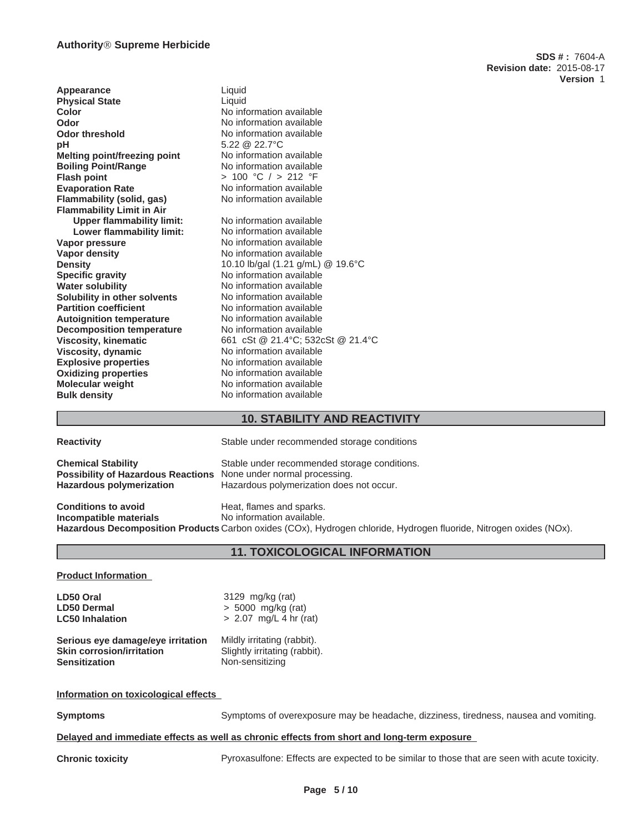**Appearance** Liquid **Physical State** Liquid **Color** No information available **Odor** No information available<br> **Odor threshold** Mo information available **Odor threshold** No information available<br> **pH** 5.22 @ 22.7°C **pH** 5.22 @ 22.7°C **Melting point/freezing point** No information available **Boiling Point/Range** No information available **Flash point** > 100 °C / > 212 °F **Evaporation Rate Communisty Constructs**<br> **Elammability (solid. gas)** No information available **Flammability (solid, gas) Flammability Limit in Air Upper flammability limit:** No information available<br> **Lower flammability limit:** No information available **Lower flammability limit: Vapor pressure** No information available<br> **Vapor density**<br>
No information available **No information available Density** 10.10 lb/gal (1.21 g/mL) @ 19.6°C **Specific gravity** No information available **Water solubility** No information available **Solubility in other solvents** No information available **Partition coefficient** No information available **Autoignition temperature** No information available **Decomposition temperature** No information available **Viscosity, kinematic** 661 cSt @ 21.4°C; 532cSt @ 21.4°C **Viscosity, dynamic**<br> **Explosive properties**<br>
No information available **Explosive properties Oxidizing properties** No information available **Molecular weight** No information available **Bulk density** No information available

#### **10. STABILITY AND REACTIVITY**

Stable under recommended storage conditions

| <b>Reactivity</b> |  |  |  |
|-------------------|--|--|--|
|-------------------|--|--|--|

**Chemical Stability** Stable under recommended storage conditions.<br>**Possibility of Hazardous Reactions** None under normal processing. **Possibility of Hazardous Reactions Hazardous polymerization** Hazardous polymerization does not occur.

**Conditions to avoid Heat, flames and sparks.** 

**Incompatible materials** No information available. **Hazardous Decomposition Products** Carbon oxides (COx), Hydrogen chloride, Hydrogen fluoride, Nitrogen oxides (NOx).

#### **11. TOXICOLOGICAL INFORMATION**

#### **Product Information**

**LD50 Oral** 3129 mg/kg (rat) **LD50 Dermal** > 5000 mg/kg (rat) **LC50 Inhalation** > 2.07 mg/L 4 hr (rat) **Serious eye damage/eye irritation** Mildly irritating (rabbit).<br>**Skin corrosion/irritation** Slightly irritating (rabbit). **Skin corrosion/irritation**<br>Sensitization **Sensitization** Non-sensitizing

#### **Information on toxicological effects**

**Symptoms** Symptoms of overexposure may be headache, dizziness, tiredness, nausea and vomiting.

#### **Delayed and immediate effects as well as chronic effects from short and long-term exposure**

**Chronic toxicity** Pyroxasulfone: Effects are expected to be similar to those that are seen with acute toxicity.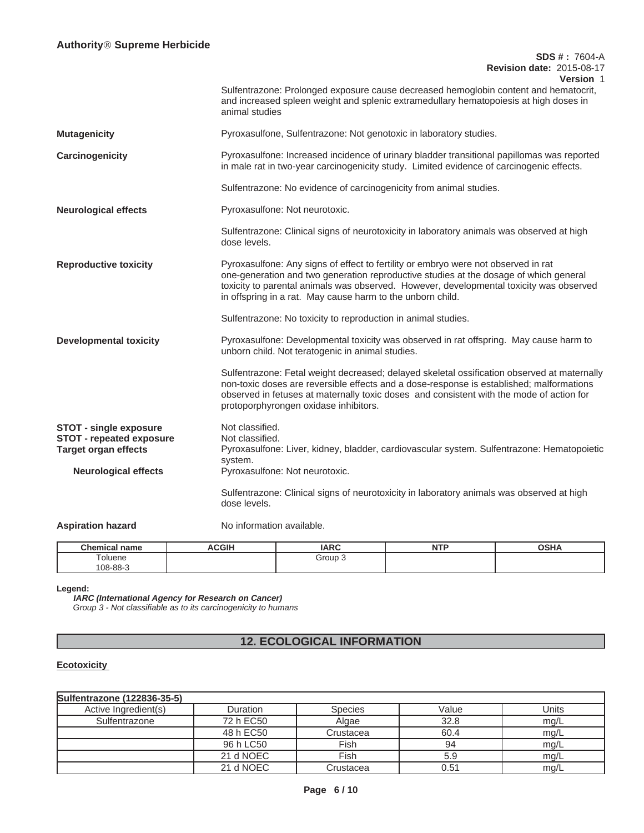|                                                                                                                                | <b>SDS #: 7604-A</b><br><b>Revision date: 2015-08-17</b>                                                                                                                                                                                                                                                                             |
|--------------------------------------------------------------------------------------------------------------------------------|--------------------------------------------------------------------------------------------------------------------------------------------------------------------------------------------------------------------------------------------------------------------------------------------------------------------------------------|
|                                                                                                                                | Version 1<br>Sulfentrazone: Prolonged exposure cause decreased hemoglobin content and hematocrit,<br>and increased spleen weight and splenic extramedullary hematopoiesis at high doses in<br>animal studies                                                                                                                         |
| <b>Mutagenicity</b>                                                                                                            | Pyroxasulfone, Sulfentrazone: Not genotoxic in laboratory studies.                                                                                                                                                                                                                                                                   |
| Carcinogenicity                                                                                                                | Pyroxasulfone: Increased incidence of urinary bladder transitional papillomas was reported<br>in male rat in two-year carcinogenicity study. Limited evidence of carcinogenic effects.                                                                                                                                               |
|                                                                                                                                | Sulfentrazone: No evidence of carcinogenicity from animal studies.                                                                                                                                                                                                                                                                   |
| <b>Neurological effects</b>                                                                                                    | Pyroxasulfone: Not neurotoxic.                                                                                                                                                                                                                                                                                                       |
|                                                                                                                                | Sulfentrazone: Clinical signs of neurotoxicity in laboratory animals was observed at high<br>dose levels.                                                                                                                                                                                                                            |
| <b>Reproductive toxicity</b>                                                                                                   | Pyroxasulfone: Any signs of effect to fertility or embryo were not observed in rat<br>one-generation and two generation reproductive studies at the dosage of which general<br>toxicity to parental animals was observed. However, developmental toxicity was observed<br>in offspring in a rat. May cause harm to the unborn child. |
|                                                                                                                                | Sulfentrazone: No toxicity to reproduction in animal studies.                                                                                                                                                                                                                                                                        |
| <b>Developmental toxicity</b>                                                                                                  | Pyroxasulfone: Developmental toxicity was observed in rat offspring. May cause harm to<br>unborn child. Not teratogenic in animal studies.                                                                                                                                                                                           |
|                                                                                                                                | Sulfentrazone: Fetal weight decreased; delayed skeletal ossification observed at maternally<br>non-toxic doses are reversible effects and a dose-response is established; malformations<br>observed in fetuses at maternally toxic doses and consistent with the mode of action for<br>protoporphyrongen oxidase inhibitors.         |
| <b>STOT - single exposure</b><br><b>STOT - repeated exposure</b><br><b>Target organ effects</b><br><b>Neurological effects</b> | Not classified.<br>Not classified.<br>Pyroxasulfone: Liver, kidney, bladder, cardiovascular system. Sulfentrazone: Hematopoietic<br>system.<br>Pyroxasulfone: Not neurotoxic.                                                                                                                                                        |
|                                                                                                                                | Sulfentrazone: Clinical signs of neurotoxicity in laboratory animals was observed at high<br>dose levels.                                                                                                                                                                                                                            |
| <b>Aspiration hazard</b>                                                                                                       | No information available.                                                                                                                                                                                                                                                                                                            |

| <b>Chamisal</b><br>name<br>ынышсаг      | <b>ACGIH</b> | IAPC<br>IANV | .<br>N<br>. | OCHA<br>א⊓ט |
|-----------------------------------------|--------------|--------------|-------------|-------------|
| $\overline{\phantom{0}}$<br>oluene<br>. |              | Group        |             |             |
| $08 - 88 - 3$                           |              |              |             |             |

**Legend:**

**IARC (International Agency for Research on Cancer)** *Group 3 - Not classifiable as to its carcinogenicity to humans*

## **12. ECOLOGICAL INFORMATION**

#### **Ecotoxicity**

| Sulfentrazone (122836-35-5) |           |                |       |       |
|-----------------------------|-----------|----------------|-------|-------|
| Active Ingredient(s)        | Duration  | <b>Species</b> | Value | Units |
| Sulfentrazone               | 72 h EC50 | Algae          | 32.8  | mg/L  |
|                             | 48 h EC50 | Crustacea      | 60.4  | mg/L  |
|                             | 96 h LC50 | Fish           | 94    | mg/L  |
|                             | 21 d NOEC | Fish           | 5.9   | mg/L  |
|                             | 21 d NOEC | Crustacea      | 0.51  | mg/L  |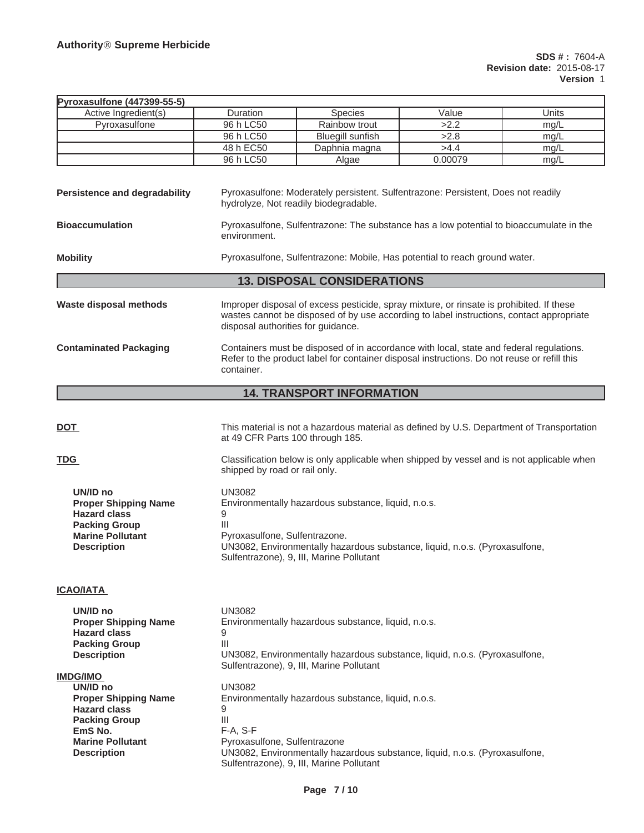| Pyroxasulfone (447399-55-5)                                                                                                                                           |                                                                                                                            |                                                                                                                                                                                        |         |       |
|-----------------------------------------------------------------------------------------------------------------------------------------------------------------------|----------------------------------------------------------------------------------------------------------------------------|----------------------------------------------------------------------------------------------------------------------------------------------------------------------------------------|---------|-------|
| Active Ingredient(s)                                                                                                                                                  | Duration                                                                                                                   | <b>Species</b>                                                                                                                                                                         | Value   | Units |
| Pyroxasulfone                                                                                                                                                         | 96 h LC50                                                                                                                  | Rainbow trout                                                                                                                                                                          | >2.2    | mg/L  |
|                                                                                                                                                                       | 96 h LC50                                                                                                                  | <b>Bluegill</b> sunfish                                                                                                                                                                | >2.8    | mg/L  |
|                                                                                                                                                                       | 48 h EC50                                                                                                                  | Daphnia magna                                                                                                                                                                          | >4.4    | mg/L  |
|                                                                                                                                                                       | 96 h LC50                                                                                                                  | Algae                                                                                                                                                                                  | 0.00079 | mg/L  |
| <b>Persistence and degradability</b>                                                                                                                                  |                                                                                                                            | Pyroxasulfone: Moderately persistent. Sulfentrazone: Persistent, Does not readily<br>hydrolyze, Not readily biodegradable.                                                             |         |       |
| <b>Bioaccumulation</b>                                                                                                                                                | Pyroxasulfone, Sulfentrazone: The substance has a low potential to bioaccumulate in the<br>environment.                    |                                                                                                                                                                                        |         |       |
| <b>Mobility</b>                                                                                                                                                       |                                                                                                                            | Pyroxasulfone, Sulfentrazone: Mobile, Has potential to reach ground water.                                                                                                             |         |       |
|                                                                                                                                                                       |                                                                                                                            | <b>13. DISPOSAL CONSIDERATIONS</b>                                                                                                                                                     |         |       |
| <b>Waste disposal methods</b>                                                                                                                                         | disposal authorities for guidance.                                                                                         | Improper disposal of excess pesticide, spray mixture, or rinsate is prohibited. If these<br>wastes cannot be disposed of by use according to label instructions, contact appropriate   |         |       |
| <b>Contaminated Packaging</b>                                                                                                                                         | container.                                                                                                                 | Containers must be disposed of in accordance with local, state and federal regulations.<br>Refer to the product label for container disposal instructions. Do not reuse or refill this |         |       |
|                                                                                                                                                                       |                                                                                                                            | <b>14. TRANSPORT INFORMATION</b>                                                                                                                                                       |         |       |
|                                                                                                                                                                       |                                                                                                                            |                                                                                                                                                                                        |         |       |
| <b>DOT</b>                                                                                                                                                            | at 49 CFR Parts 100 through 185.                                                                                           | This material is not a hazardous material as defined by U.S. Department of Transportation                                                                                              |         |       |
| <b>TDG</b>                                                                                                                                                            | Classification below is only applicable when shipped by vessel and is not applicable when<br>shipped by road or rail only. |                                                                                                                                                                                        |         |       |
| UN/ID no<br><b>Proper Shipping Name</b><br><b>Hazard class</b><br><b>Packing Group</b><br><b>Marine Pollutant</b><br><b>Description</b>                               | <b>UN3082</b><br>9<br>Ш<br>Pyroxasulfone, Sulfentrazone.                                                                   | Environmentally hazardous substance, liquid, n.o.s.<br>UN3082, Environmentally hazardous substance, liquid, n.o.s. (Pyroxasulfone,<br>Sulfentrazone), 9, III, Marine Pollutant         |         |       |
| <b>ICAO/IATA</b>                                                                                                                                                      |                                                                                                                            |                                                                                                                                                                                        |         |       |
| UN/ID no<br><b>Proper Shipping Name</b><br><b>Hazard class</b><br><b>Packing Group</b><br><b>Description</b>                                                          | <b>UN3082</b><br>9<br>Ш                                                                                                    | Environmentally hazardous substance, liquid, n.o.s.<br>UN3082, Environmentally hazardous substance, liquid, n.o.s. (Pyroxasulfone,<br>Sulfentrazone), 9, III, Marine Pollutant         |         |       |
| <b>IMDG/IMO</b><br>UN/ID no<br><b>Proper Shipping Name</b><br><b>Hazard class</b><br><b>Packing Group</b><br>EmS No.<br><b>Marine Pollutant</b><br><b>Description</b> | <b>UN3082</b><br>9<br>Ш<br>$F-A, S-F$<br>Pyroxasulfone, Sulfentrazone                                                      | Environmentally hazardous substance, liquid, n.o.s.<br>UN3082, Environmentally hazardous substance, liquid, n.o.s. (Pyroxasulfone,<br>Sulfentrazone), 9, III, Marine Pollutant         |         |       |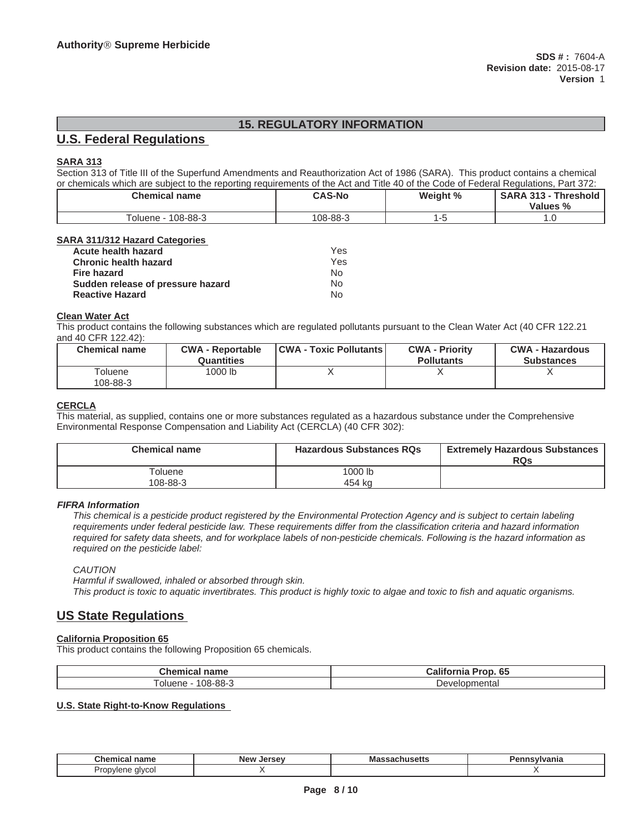## **15. REGULATORY INFORMATION**

## **U.S. Federal Regulations**

#### **SARA 313**

Section 313 of Title III of the Superfund Amendments and Reauthorization Act of 1986 (SARA). This product contains a chemical or chemicals which are subject to the reporting requirements of the Act and Title 40 of the Code of Federal Regulations, Part 372:

| <b>Chemical name</b> | <b>CAS-No</b> | Weight % | <b>SARA 313 - Threshold</b><br>Values % |
|----------------------|---------------|----------|-----------------------------------------|
| Toluene - 108-88-3   | 108-88-3      |          |                                         |

#### **SARA 311/312 Hazard Categories**

| Acute health hazard               | Yes |
|-----------------------------------|-----|
| <b>Chronic health hazard</b>      | Yes |
| <b>Fire hazard</b>                | N٥  |
| Sudden release of pressure hazard | N٥  |
| <b>Reactive Hazard</b>            | Nο  |

#### **Clean Water Act**

This product contains the following substances which are regulated pollutants pursuant to the Clean Water Act (40 CFR 122.21 and 40 CFR 122.42):

| <b>Chemical name</b> | <b>CWA - Reportable</b><br>Quantities | <b>CWA - Toxic Pollutants</b> | <b>CWA - Priority</b><br><b>Pollutants</b> | <b>CWA - Hazardous</b><br><b>Substances</b> |
|----------------------|---------------------------------------|-------------------------------|--------------------------------------------|---------------------------------------------|
| Toluene<br>108-88-3  | 1000 lb                               |                               |                                            |                                             |

#### **CERCLA**

This material, as supplied, contains one or more substances regulated as a hazardous substance under the Comprehensive Environmental Response Compensation and Liability Act (CERCLA) (40 CFR 302):

| <b>Chemical name</b> | <b>Hazardous Substances RQs</b> | <b>Extremely Hazardous Substances</b>  <br><b>RQs</b> |
|----------------------|---------------------------------|-------------------------------------------------------|
| Гoluene<br>108-88-3  | 1000 lb<br>454 ka               |                                                       |

#### **FIFRA Information**

*This chemical is a pesticide product registered by the Environmental Protection Agency and is subject to certain labeling requirements under federal pesticide law. These requirements differ from the classification criteria and hazard information required for safety data sheets, and for workplace labels of non-pesticide chemicals. Following is the hazard information as required on the pesticide label:*

*CAUTION*

*Harmful if swallowed, inhaled or absorbed through skin. This product is toxic to aquatic invertibrates. This product is highly toxic to algae and toxic to fish and aquatic organisms.*

## **US State Regulations**

### **California Proposition 65**

This product contains the following Proposition 65 chemicals.

| Chemi<br>-------<br>шс<br>пане | - 1960<br>r.<br>ъ.<br>. .<br>'rot<br>ulic<br>лгог<br>vJ |
|--------------------------------|---------------------------------------------------------|
| $108 - 88 -$                   | mentar                                                  |
| oluene                         | Develor                                                 |

#### **U.S. State Right-to-Know Regulations**

| Chemical<br>name           | <b>New</b><br>Jersey | ма<br>aautusetta | eineulus<br>ъ.<br>vanna |
|----------------------------|----------------------|------------------|-------------------------|
| alvcol<br>Propylene<br>. . |                      |                  |                         |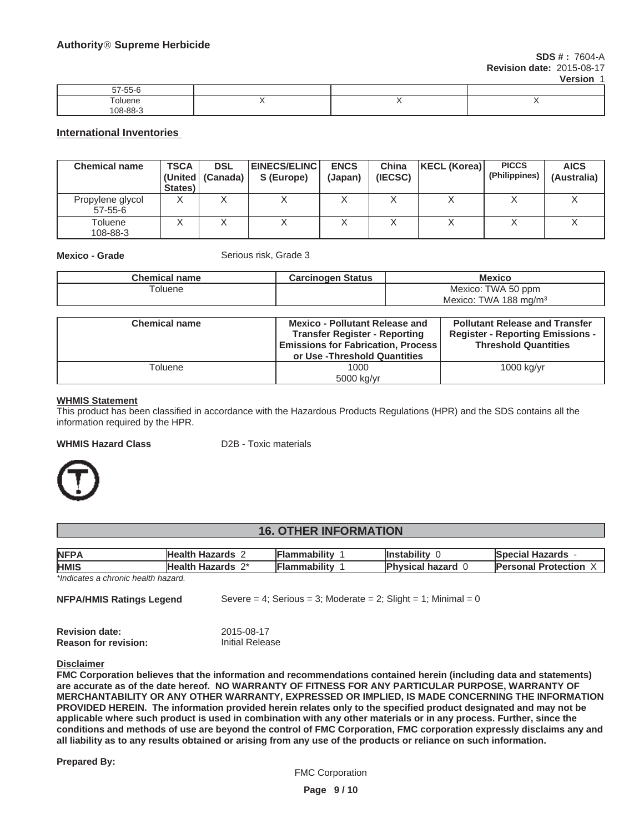**SDS # :** 7604-A **Revision date:** 2015-08-17

**Version** 1

| $- - -$<br>--<br>ົ້າ / -ລວ-ບ |  |  |
|------------------------------|--|--|
| uene                         |  |  |
| $08-88-$                     |  |  |

#### **International Inventories**

| <b>Chemical name</b>              | <b>TSCA</b><br>States) | <b>DSL</b><br>(United   (Canada) | <b>EINECS/ELINC</b><br>S (Europe) | <b>ENCS</b><br>(Japan) | China<br>(IECSC) | KECL (Korea) | <b>PICCS</b><br>(Philippines) | <b>AICS</b><br>(Australia) |
|-----------------------------------|------------------------|----------------------------------|-----------------------------------|------------------------|------------------|--------------|-------------------------------|----------------------------|
| Propylene glycol<br>$57 - 55 - 6$ |                        |                                  |                                   |                        |                  |              |                               |                            |
| Toluene<br>108-88-3               |                        |                                  |                                   |                        |                  |              |                               |                            |

**Mexico - Grade** Serious risk, Grade 3

| <b>Chemical name</b> | <b>Carcinogen Status</b>                                                                                                                                    | <b>Mexico</b>                                                                                                   |
|----------------------|-------------------------------------------------------------------------------------------------------------------------------------------------------------|-----------------------------------------------------------------------------------------------------------------|
| Toluene              |                                                                                                                                                             | Mexico: TWA 50 ppm                                                                                              |
|                      |                                                                                                                                                             | Mexico: TWA 188 mg/m <sup>3</sup>                                                                               |
|                      |                                                                                                                                                             |                                                                                                                 |
| <b>Chemical name</b> | <b>Mexico - Pollutant Release and</b><br><b>Transfer Register - Reporting</b><br><b>Emissions for Fabrication, Process</b><br>or Use - Threshold Quantities | <b>Pollutant Release and Transfer</b><br><b>Register - Reporting Emissions -</b><br><b>Threshold Quantities</b> |
| Toluene              | 1000                                                                                                                                                        | $1000$ kg/yr                                                                                                    |
|                      | 5000 kg/vr                                                                                                                                                  |                                                                                                                 |

#### **WHMIS Statement**

This product has been classified in accordance with the Hazardous Products Regulations (HPR) and the SDS contains all the information required by the HPR.

#### **WHMIS Hazard Class** D2B - Toxic materials



#### **16. OTHER INFORMATION**

| <b>NFPA</b> | <b>Health Hazards</b> | Flammabilitv | <b>Instability</b>     | <b>Special Hazards -</b>   |
|-------------|-----------------------|--------------|------------------------|----------------------------|
| <b>HMIS</b> | <b>Health Hazards</b> | Flammability | <b>Physical hazard</b> | <b>Personal Protection</b> |

*\*Indicates a chronic health hazard.*

| NFPA/HMIS Ratings Legend | Severe = 4; Serious = 3; Moderate = 2; Slight = 1; Minimal = 0 |
|--------------------------|----------------------------------------------------------------|
| <b>Revision date:</b>    | 2015-08-17                                                     |

**Reason for revision:** Initial Release

#### **Disclaimer**

**FMC Corporation believes that the information and recommendations contained herein (including data and statements) are accurate as of the date hereof. NO WARRANTY OF FITNESS FOR ANY PARTICULAR PURPOSE, WARRANTY OF MERCHANTABILITY OR ANY OTHER WARRANTY, EXPRESSED OR IMPLIED, IS MADE CONCERNING THE INFORMATION PROVIDED HEREIN. The information provided herein relates only to the specified product designated and may not be applicable where such product is used in combination with any other materials or in any process. Further, since the conditions and methods of use are beyond the control of FMC Corporation, FMC corporation expressly disclaims any and all liability as to any results obtained or arising from any use of the products or reliance on such information.**

**Prepared By:**